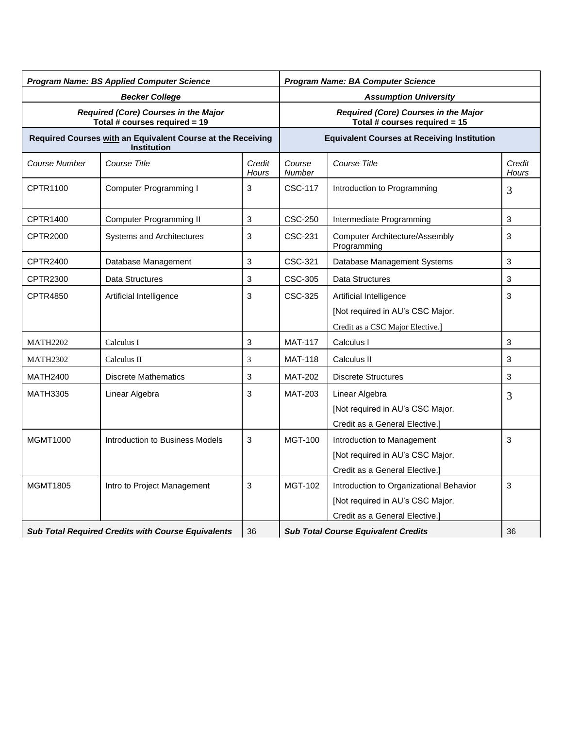| <b>Program Name: BS Applied Computer Science</b>                      |                                                                                   |                 | <b>Program Name: BA Computer Science</b>                              |                                                      |                 |
|-----------------------------------------------------------------------|-----------------------------------------------------------------------------------|-----------------|-----------------------------------------------------------------------|------------------------------------------------------|-----------------|
| <b>Becker College</b>                                                 |                                                                                   |                 | <b>Assumption University</b>                                          |                                                      |                 |
| Required (Core) Courses in the Major<br>Total # courses required = 19 |                                                                                   |                 | Required (Core) Courses in the Major<br>Total # courses required = 15 |                                                      |                 |
|                                                                       | Required Courses with an Equivalent Course at the Receiving<br><b>Institution</b> |                 | <b>Equivalent Courses at Receiving Institution</b>                    |                                                      |                 |
| Course Number                                                         | Course Title                                                                      | Credit<br>Hours | Course<br>Number                                                      | Course Title                                         | Credit<br>Hours |
| CPTR1100                                                              | <b>Computer Programming I</b>                                                     | 3               | <b>CSC-117</b>                                                        | Introduction to Programming                          | 3               |
| CPTR1400                                                              | Computer Programming II                                                           | 3               | CSC-250                                                               | Intermediate Programming                             | 3               |
| <b>CPTR2000</b>                                                       | <b>Systems and Architectures</b>                                                  | 3               | CSC-231                                                               | <b>Computer Architecture/Assembly</b><br>Programming | 3               |
| <b>CPTR2400</b>                                                       | Database Management                                                               | 3               | CSC-321                                                               | Database Management Systems                          | 3               |
| CPTR2300                                                              | Data Structures                                                                   | 3               | CSC-305                                                               | Data Structures                                      | 3               |
| <b>CPTR4850</b>                                                       | Artificial Intelligence                                                           | 3               | CSC-325                                                               | Artificial Intelligence                              | 3               |
|                                                                       |                                                                                   |                 |                                                                       | [Not required in AU's CSC Major.                     |                 |
|                                                                       |                                                                                   |                 |                                                                       | Credit as a CSC Major Elective.]                     |                 |
| <b>MATH2202</b>                                                       | Calculus I                                                                        | 3               | <b>MAT-117</b>                                                        | Calculus I                                           | 3               |
| <b>MATH2302</b>                                                       | Calculus II                                                                       | 3               | <b>MAT-118</b>                                                        | Calculus II                                          | 3               |
| <b>MATH2400</b>                                                       | <b>Discrete Mathematics</b>                                                       | 3               | <b>MAT-202</b>                                                        | <b>Discrete Structures</b>                           | 3               |
| <b>MATH3305</b>                                                       | Linear Algebra                                                                    | 3               | <b>MAT-203</b>                                                        | Linear Algebra                                       | 3               |
|                                                                       |                                                                                   |                 |                                                                       | [Not required in AU's CSC Major.                     |                 |
|                                                                       |                                                                                   |                 |                                                                       | Credit as a General Elective.]                       |                 |
| <b>MGMT1000</b>                                                       | Introduction to Business Models                                                   | 3               | <b>MGT-100</b>                                                        | Introduction to Management                           | 3               |
|                                                                       |                                                                                   |                 |                                                                       | [Not required in AU's CSC Major.                     |                 |
|                                                                       |                                                                                   |                 |                                                                       | Credit as a General Elective.]                       |                 |
| <b>MGMT1805</b>                                                       | Intro to Project Management                                                       | 3               | <b>MGT-102</b>                                                        | Introduction to Organizational Behavior              | 3               |
|                                                                       |                                                                                   |                 |                                                                       | [Not required in AU's CSC Major.                     |                 |
|                                                                       |                                                                                   |                 |                                                                       | Credit as a General Elective.]                       |                 |
| Sub Total Required Credits with Course Equivalents                    |                                                                                   | 36              | <b>Sub Total Course Equivalent Credits</b>                            |                                                      | 36              |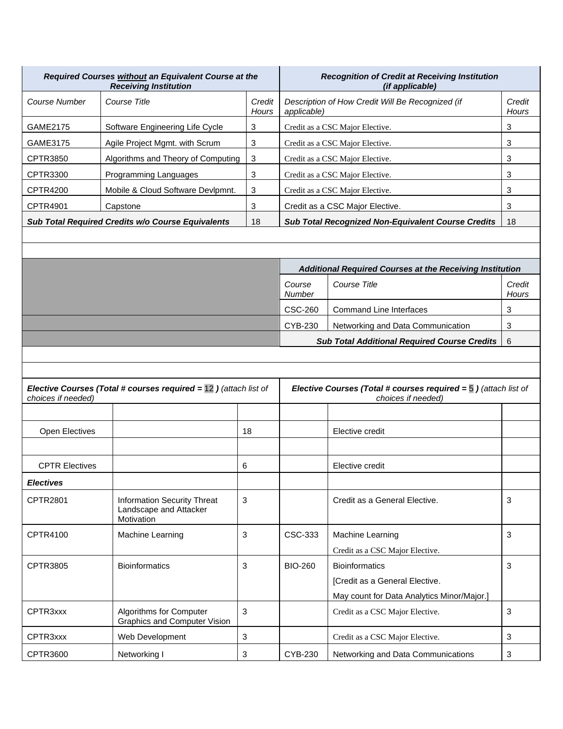| Required Courses without an Equivalent Course at the<br><b>Receiving Institution</b> |                                    | <b>Recognition of Credit at Receiving Institution</b><br><i>(if applicable)</i> |                                                                 |                 |
|--------------------------------------------------------------------------------------|------------------------------------|---------------------------------------------------------------------------------|-----------------------------------------------------------------|-----------------|
| Course Number                                                                        | Course Title                       | Credit<br>Hours                                                                 | Description of How Credit Will Be Recognized (if<br>applicable) | Credit<br>Hours |
| GAME2175                                                                             | Software Engineering Life Cycle    | 3                                                                               | Credit as a CSC Major Elective.                                 | 3               |
| GAME3175                                                                             | Agile Project Mgmt. with Scrum     | 3                                                                               | Credit as a CSC Major Elective.                                 | 3               |
| CPTR3850                                                                             | Algorithms and Theory of Computing | 3                                                                               | Credit as a CSC Major Elective.                                 | 3               |
| CPTR3300                                                                             | Programming Languages              | 3                                                                               | Credit as a CSC Major Elective.                                 | 3               |
| CPTR4200                                                                             | Mobile & Cloud Software Devlpmnt.  | 3                                                                               | Credit as a CSC Major Elective.                                 | 3               |
| CPTR4901                                                                             | Capstone                           | 3                                                                               | Credit as a CSC Major Elective.                                 | 3               |
| <b>Sub Total Required Credits w/o Course Equivalents</b><br>18                       |                                    | <b>Sub Total Recognized Non-Equivalent Course Credits</b>                       | 18                                                              |                 |

| Additional Required Courses at the Receiving Institution |                                   |                 |  |  |
|----------------------------------------------------------|-----------------------------------|-----------------|--|--|
| Course<br><b>Number</b>                                  | Course Title                      | Credit<br>Hours |  |  |
| CSC-260                                                  | <b>Command Line Interfaces</b>    | 3               |  |  |
| CYB-230                                                  | Networking and Data Communication | 3               |  |  |
| <b>Sub Total Additional Required Course Credits</b>      |                                   |                 |  |  |

| <b>Elective Courses (Total # courses required = 12)</b> (attach list of<br>choices if needed) |                                                                            | Elective Courses (Total # courses required $=$ 5 ) (attach list of<br>choices if needed) |                |                                                                                                       |   |
|-----------------------------------------------------------------------------------------------|----------------------------------------------------------------------------|------------------------------------------------------------------------------------------|----------------|-------------------------------------------------------------------------------------------------------|---|
|                                                                                               |                                                                            |                                                                                          |                |                                                                                                       |   |
| <b>Open Electives</b>                                                                         |                                                                            | 18                                                                                       |                | Elective credit                                                                                       |   |
|                                                                                               |                                                                            |                                                                                          |                |                                                                                                       |   |
| <b>CPTR Electives</b>                                                                         |                                                                            | 6                                                                                        |                | Elective credit                                                                                       |   |
| <b>Electives</b>                                                                              |                                                                            |                                                                                          |                |                                                                                                       |   |
| <b>CPTR2801</b>                                                                               | <b>Information Security Threat</b><br>Landscape and Attacker<br>Motivation | 3                                                                                        |                | Credit as a General Elective.                                                                         | 3 |
| CPTR4100                                                                                      | <b>Machine Learning</b>                                                    | 3                                                                                        | CSC-333        | <b>Machine Learning</b><br>Credit as a CSC Major Elective.                                            | 3 |
| CPTR3805                                                                                      | <b>Bioinformatics</b>                                                      | 3                                                                                        | <b>BIO-260</b> | <b>Bioinformatics</b><br>[Credit as a General Elective.<br>May count for Data Analytics Minor/Major.] | 3 |
| CPTR3xxx                                                                                      | Algorithms for Computer<br><b>Graphics and Computer Vision</b>             | 3                                                                                        |                | Credit as a CSC Major Elective.                                                                       | 3 |
| CPTR <sub>3</sub> xxx                                                                         | Web Development                                                            | 3                                                                                        |                | Credit as a CSC Major Elective.                                                                       | 3 |
| CPTR3600                                                                                      | Networking I                                                               | 3                                                                                        | CYB-230        | Networking and Data Communications                                                                    | 3 |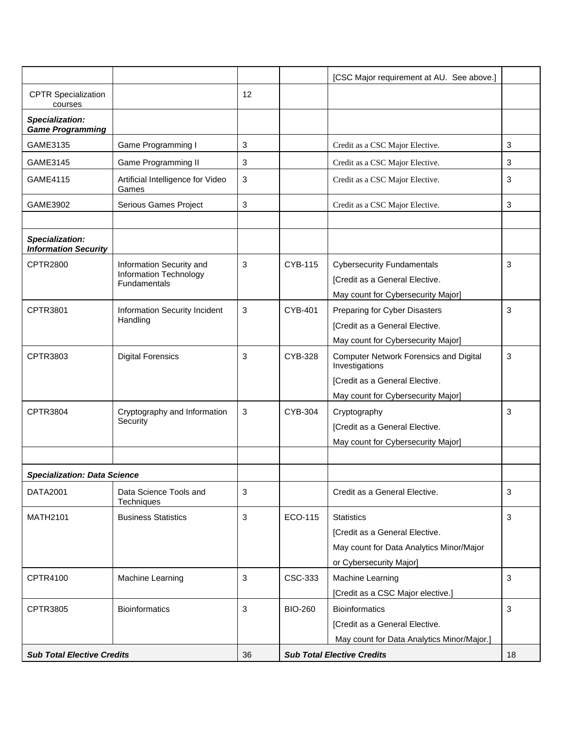|                                                |                                            |    |                                   | [CSC Major requirement at AU. See above.]                       |              |
|------------------------------------------------|--------------------------------------------|----|-----------------------------------|-----------------------------------------------------------------|--------------|
| <b>CPTR Specialization</b><br>courses          |                                            | 12 |                                   |                                                                 |              |
| Specialization:<br><b>Game Programming</b>     |                                            |    |                                   |                                                                 |              |
| GAME3135                                       | Game Programming I                         | 3  |                                   | Credit as a CSC Major Elective.                                 | 3            |
| GAME3145                                       | <b>Game Programming II</b>                 | 3  |                                   | Credit as a CSC Major Elective.                                 | 3            |
| <b>GAME4115</b>                                | Artificial Intelligence for Video<br>Games | 3  |                                   | Credit as a CSC Major Elective.                                 | 3            |
| GAME3902                                       | Serious Games Project                      | 3  |                                   | Credit as a CSC Major Elective.                                 | 3            |
| Specialization:<br><b>Information Security</b> |                                            |    |                                   |                                                                 |              |
| <b>CPTR2800</b>                                | Information Security and                   | 3  | <b>CYB-115</b>                    | <b>Cybersecurity Fundamentals</b>                               | 3            |
|                                                | Information Technology<br>Fundamentals     |    |                                   | [Credit as a General Elective.                                  |              |
|                                                |                                            |    |                                   | May count for Cybersecurity Major]                              |              |
| CPTR3801                                       | Information Security Incident              | 3  | CYB-401                           | Preparing for Cyber Disasters                                   | 3            |
|                                                | Handling                                   |    |                                   | [Credit as a General Elective.                                  |              |
|                                                |                                            |    |                                   | May count for Cybersecurity Major]                              |              |
| CPTR3803                                       | <b>Digital Forensics</b>                   | 3  | CYB-328                           | <b>Computer Network Forensics and Digital</b><br>Investigations | 3            |
|                                                |                                            |    |                                   | [Credit as a General Elective.                                  |              |
|                                                |                                            |    |                                   | May count for Cybersecurity Major]                              |              |
| CPTR3804                                       | Cryptography and Information               | 3  | <b>CYB-304</b>                    | Cryptography                                                    | 3            |
|                                                | Security                                   |    |                                   | [Credit as a General Elective.                                  |              |
|                                                |                                            |    |                                   | May count for Cybersecurity Major]                              |              |
|                                                |                                            |    |                                   |                                                                 |              |
| <b>Specialization: Data Science</b>            |                                            |    |                                   |                                                                 |              |
| <b>DATA2001</b>                                | Data Science Tools and<br>Techniques       | 3  |                                   | Credit as a General Elective.                                   | $\mathbf{3}$ |
| <b>MATH2101</b>                                | <b>Business Statistics</b>                 | 3  | ECO-115                           | <b>Statistics</b>                                               | $\sqrt{3}$   |
|                                                |                                            |    |                                   | [Credit as a General Elective.                                  |              |
|                                                |                                            |    |                                   | May count for Data Analytics Minor/Major                        |              |
|                                                |                                            |    |                                   | or Cybersecurity Major]                                         |              |
| CPTR4100                                       | Machine Learning                           | 3  | CSC-333                           | Machine Learning                                                | 3            |
|                                                |                                            |    |                                   | [Credit as a CSC Major elective.]                               |              |
| <b>CPTR3805</b>                                | <b>Bioinformatics</b>                      | 3  | <b>BIO-260</b>                    | <b>Bioinformatics</b>                                           | 3            |
|                                                |                                            |    |                                   | [Credit as a General Elective.                                  |              |
|                                                |                                            |    |                                   | May count for Data Analytics Minor/Major.]                      |              |
| <b>Sub Total Elective Credits</b>              |                                            | 36 | <b>Sub Total Elective Credits</b> |                                                                 | 18           |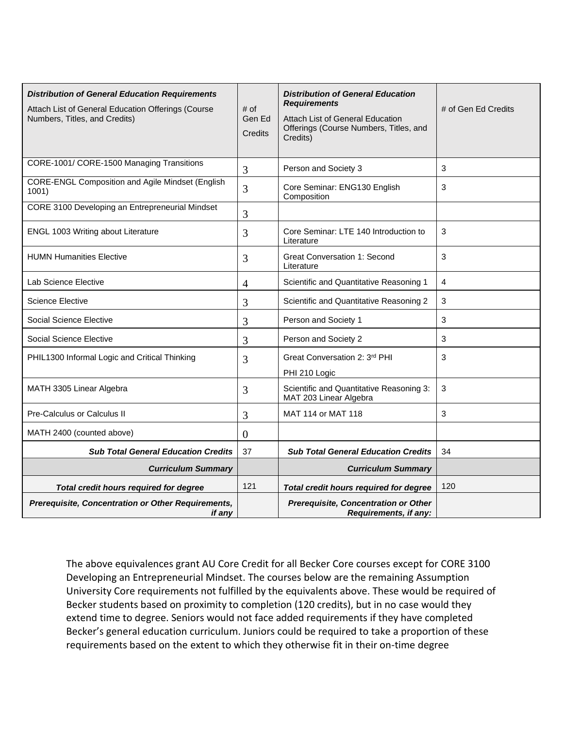| <b>Distribution of General Education Requirements</b><br>Attach List of General Education Offerings (Course<br>Numbers, Titles, and Credits) | # of<br>Gen Ed<br>Credits | <b>Distribution of General Education</b><br><b>Requirements</b><br>Attach List of General Education<br>Offerings (Course Numbers, Titles, and<br>Credits) | # of Gen Ed Credits |
|----------------------------------------------------------------------------------------------------------------------------------------------|---------------------------|-----------------------------------------------------------------------------------------------------------------------------------------------------------|---------------------|
| CORE-1001/ CORE-1500 Managing Transitions                                                                                                    | 3                         | Person and Society 3                                                                                                                                      | 3                   |
| <b>CORE-ENGL Composition and Agile Mindset (English</b><br>1001)                                                                             | 3                         | Core Seminar: ENG130 English<br>Composition                                                                                                               | 3                   |
| CORE 3100 Developing an Entrepreneurial Mindset                                                                                              | 3                         |                                                                                                                                                           |                     |
| ENGL 1003 Writing about Literature                                                                                                           | 3                         | Core Seminar: LTE 140 Introduction to<br>Literature                                                                                                       | 3                   |
| <b>HUMN Humanities Elective</b>                                                                                                              | 3                         | <b>Great Conversation 1: Second</b><br>Literature                                                                                                         | 3                   |
| Lab Science Elective                                                                                                                         | 4                         | Scientific and Quantitative Reasoning 1                                                                                                                   | 4                   |
| <b>Science Elective</b>                                                                                                                      | 3                         | Scientific and Quantitative Reasoning 2                                                                                                                   | 3                   |
| Social Science Elective                                                                                                                      | 3                         | Person and Society 1                                                                                                                                      | 3                   |
| Social Science Elective                                                                                                                      | 3                         | Person and Society 2                                                                                                                                      | 3                   |
| PHIL1300 Informal Logic and Critical Thinking                                                                                                | 3                         | Great Conversation 2: 3rd PHI<br>PHI 210 Logic                                                                                                            | 3                   |
| MATH 3305 Linear Algebra                                                                                                                     | 3                         | Scientific and Quantitative Reasoning 3:<br>MAT 203 Linear Algebra                                                                                        | 3                   |
| Pre-Calculus or Calculus II                                                                                                                  | 3                         | MAT 114 or MAT 118                                                                                                                                        | 3                   |
| MATH 2400 (counted above)                                                                                                                    | $\boldsymbol{0}$          |                                                                                                                                                           |                     |
| <b>Sub Total General Education Credits</b>                                                                                                   | 37                        | <b>Sub Total General Education Credits</b>                                                                                                                | 34                  |
| <b>Curriculum Summary</b>                                                                                                                    |                           | <b>Curriculum Summary</b>                                                                                                                                 |                     |
| Total credit hours required for degree                                                                                                       | 121                       | Total credit hours required for degree                                                                                                                    | 120                 |
| Prerequisite, Concentration or Other Requirements,<br>if any                                                                                 |                           | Prerequisite, Concentration or Other<br>Requirements, if any:                                                                                             |                     |

Developing an Entrepreneurial Mindset. The courses below are the remaining Assumption University Core requirements not fulfilled by the equivalents above. These would be required of Becker students based on proximity to completion (120 credits), but in no case would they extend time to degree. Seniors would not face added requirements if they have completed Becker's general education curriculum. Juniors could be required to take a proportion of these requirements based on the extent to which they otherwise fit in their on-time degree The above equivalences grant AU Core Credit for all Becker Core courses except for CORE 3100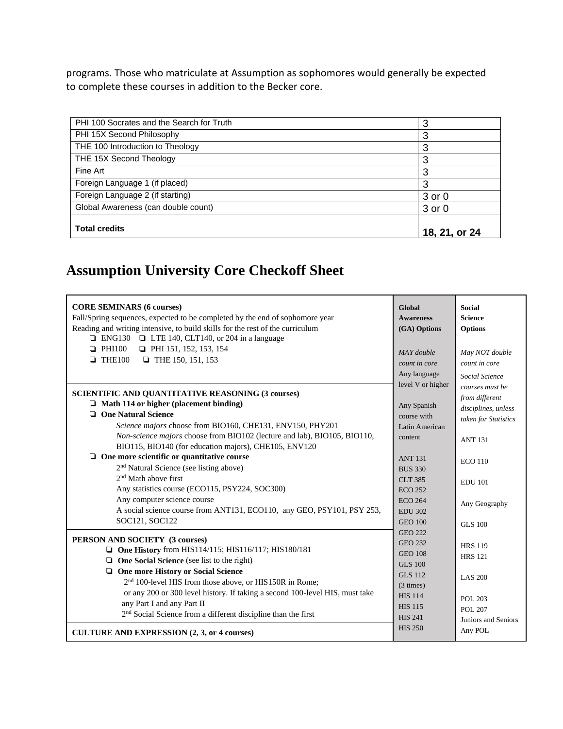programs. Those who matriculate at Assumption as sophomores would generally be expected to complete these courses in addition to the Becker core.

| PHI 100 Socrates and the Search for Truth | 3             |
|-------------------------------------------|---------------|
| PHI 15X Second Philosophy                 | 3             |
| THE 100 Introduction to Theology          | 3             |
| THE 15X Second Theology                   | 3             |
| Fine Art                                  | 3             |
| Foreign Language 1 (if placed)            | 3             |
| Foreign Language 2 (if starting)          | $3$ or $0$    |
| Global Awareness (can double count)       | 3 or 0        |
|                                           |               |
| <b>Total credits</b>                      | 18, 21, or 24 |

## **Assumption University Core Checkoff Sheet**

| <b>CORE SEMINARS (6 courses)</b><br>Fall/Spring sequences, expected to be completed by the end of sophomore year<br>Reading and writing intensive, to build skills for the rest of the curriculum<br>$\Box$ ENG130 $\Box$ LTE 140, CLT140, or 204 in a language<br>$\Box$ PHI100<br>$\Box$ PHI 151, 152, 153, 154<br>$\Box$ THE100<br><b>THE 150, 151, 153</b>                        | Global<br><b>Awareness</b><br>(GA) Options<br>MAY double<br>count in core<br>Any language                                                  | <b>Social</b><br><b>Science</b><br><b>Options</b><br>May NOT double<br>count in core<br>Social Science |
|---------------------------------------------------------------------------------------------------------------------------------------------------------------------------------------------------------------------------------------------------------------------------------------------------------------------------------------------------------------------------------------|--------------------------------------------------------------------------------------------------------------------------------------------|--------------------------------------------------------------------------------------------------------|
| <b>SCIENTIFIC AND QUANTITATIVE REASONING (3 courses)</b><br>$\Box$ Math 114 or higher (placement binding)<br><b>Q</b> One Natural Science<br>Science majors choose from BIO160, CHE131, ENV150, PHY201<br>Non-science majors choose from BIO102 (lecture and lab), BIO105, BIO110,                                                                                                    | level V or higher<br>Any Spanish<br>course with<br>Latin American<br>content                                                               | courses must be<br>from different<br>disciplines, unless<br>taken for Statistics<br><b>ANT 131</b>     |
| BIO115, BIO140 (for education majors), CHE105, ENV120<br>$\Box$ One more scientific or quantitative course<br>2 <sup>nd</sup> Natural Science (see listing above)<br>2 <sup>nd</sup> Math above first<br>Any statistics course (ECO115, PSY224, SOC300)<br>Any computer science course<br>A social science course from ANT131, ECO110, any GEO, PSY101, PSY 253,<br>SOC121, SOC122    | <b>ANT 131</b><br><b>BUS 330</b><br><b>CLT 385</b><br><b>ECO 252</b><br><b>ECO 264</b><br><b>EDU 302</b><br><b>GEO 100</b>                 | <b>ECO</b> 110<br><b>EDU 101</b><br>Any Geography<br><b>GLS 100</b>                                    |
| PERSON AND SOCIETY (3 courses)<br>$\Box$ One History from HIS114/115; HIS116/117; HIS180/181<br>$\Box$ One Social Science (see list to the right)<br><b>Q</b> One more History or Social Science<br>2 <sup>nd</sup> 100-level HIS from those above, or HIS150R in Rome;<br>or any 200 or 300 level history. If taking a second 100-level HIS, must take<br>any Part I and any Part II | <b>GEO 222</b><br><b>GEO 232</b><br><b>GEO 108</b><br><b>GLS 100</b><br><b>GLS 112</b><br>$(3 \times)$<br><b>HIS 114</b><br><b>HIS 115</b> | <b>HRS 119</b><br><b>HRS 121</b><br><b>LAS 200</b><br>POL 203<br><b>POL 207</b>                        |
| 2 <sup>nd</sup> Social Science from a different discipline than the first<br><b>CULTURE AND EXPRESSION (2, 3, or 4 courses)</b>                                                                                                                                                                                                                                                       | <b>HIS 241</b><br><b>HIS 250</b>                                                                                                           | Juniors and Seniors<br>Any POL                                                                         |